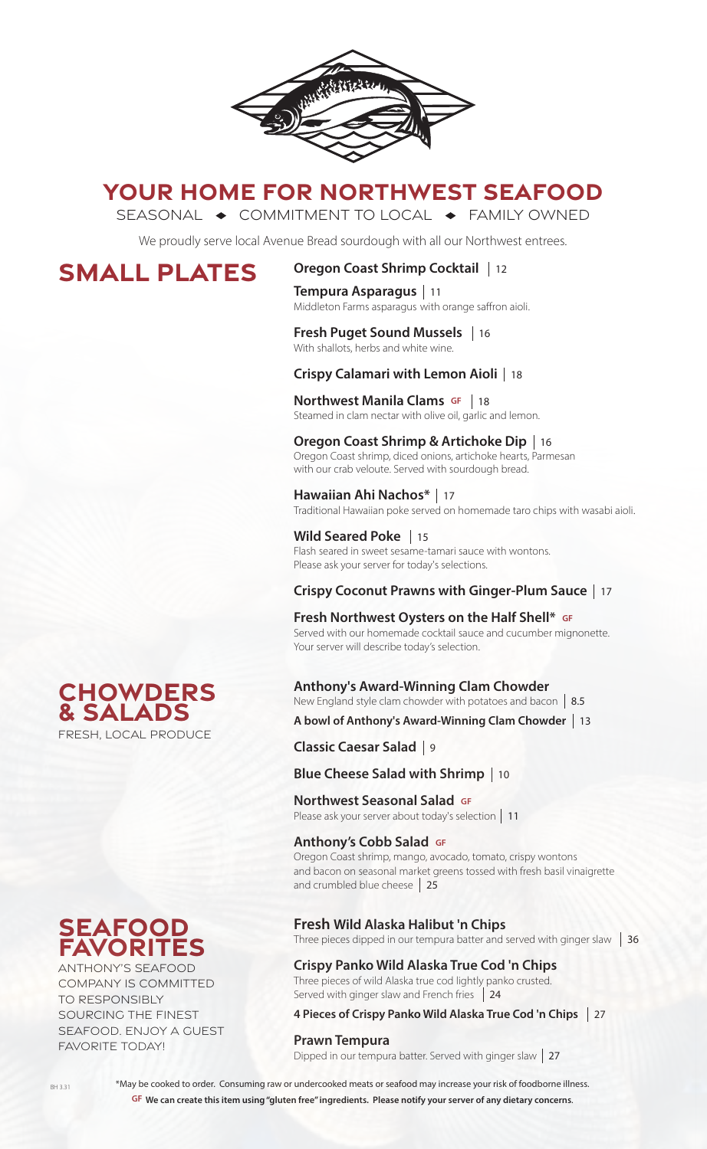

# **YOUR HOME FOR NORTHWEST SEAFOOD**

SEASONAL  $\rightarrow$  COMMITMENT TO LOCAL  $\rightarrow$  FAMILY OWNED

We proudly serve local Avenue Bread sourdough with all our Northwest entrees.

# **SMALL PLATES**

## **Oregon Coast Shrimp Cocktail**  12

**Tempura Asparagus**  11 Middleton Farms asparagus with orange saffron aioli.

### **Fresh Puget Sound Mussels**  16 With shallots, herbs and white wine.

# **Crispy Calamari with Lemon Aioli**  18

**Northwest Manila Clams GF** | 18  Steamed in clam nectar with olive oil, garlic and lemon.

### **Oregon Coast Shrimp & Artichoke Dip**  16 Oregon Coast shrimp, diced onions, artichoke hearts, Parmesan with our crab veloute. Served with sourdough bread.

**Hawaiian Ahi Nachos\***  17 Traditional Hawaiian poke served on homemade taro chips with wasabi aioli.

**Wild Seared Poke**  15 Flash seared in sweet sesame-tamari sauce with wontons. Please ask your server for today's selections.

# **Crispy Coconut Prawns with Ginger-Plum Sauce**  17

**Fresh Northwest Oysters on the Half Shell\* GF** Served with our homemade cocktail sauce and cucumber mignonette. Your server will describe today's selection.

## **Anthony's Award-Winning Clam Chowder**

New England style clam chowder with potatoes and bacon 8.5

**A bowl of Anthony's Award-Winning Clam Chowder**  13

**Classic Caesar Salad**  9

## **Blue Cheese Salad with Shrimp**  10

**Northwest Seasonal Salad GF NOT LITWEST SEASOTIAT SATAGE SI**<br>Please ask your server about today's selection | 11

## **Anthony's Cobb Salad GF** Oregon Coast shrimp, mango, avocado, tomato, crispy wontons

and bacon on seasonal market greens tossed with fresh basil vinaigrette and crumbled blue cheese 25

## **Fresh Wild Alaska Halibut 'n Chips**

Three pieces dipped in our tempura batter and served with ginger slaw  $\vert$  36

## **Crispy Panko Wild Alaska True Cod 'n Chips**

Three pieces of wild Alaska true cod lightly panko crusted. Served with ginger slaw and French fries 24

### **4 Pieces of Crispy Panko Wild Alaska True Cod 'n Chips**  27

**Prawn Tempura**<br>Dipped in our tempura batter. Served with ginger slaw | 27



## **seafood favorites**

ANTHONY'S SEAFOOD COMPANY IS COMMITTED TO RESPONSIBLY SOURCING THE FINEST SEAFOOD. ENJOY A GUEST FAVORITE TODAY!

> \*May be cooked to order. Consuming raw or undercooked meats or seafood may increase your risk of foodborne illness. **GF We can create this item using "gluten free" ingredients. Please notify your server of any dietary concerns**.